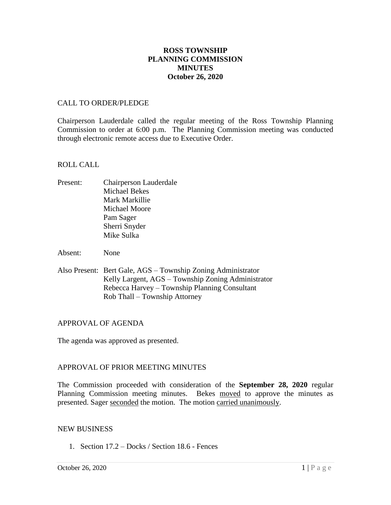## **ROSS TOWNSHIP PLANNING COMMISSION MINUTES October 26, 2020**

### CALL TO ORDER/PLEDGE

Chairperson Lauderdale called the regular meeting of the Ross Township Planning Commission to order at 6:00 p.m. The Planning Commission meeting was conducted through electronic remote access due to Executive Order.

#### ROLL CALL

- Present: Chairperson Lauderdale Michael Bekes Mark Markillie Michael Moore Pam Sager Sherri Snyder Mike Sulka
- Absent: None
- Also Present: Bert Gale, AGS Township Zoning Administrator Kelly Largent, AGS – Township Zoning Administrator Rebecca Harvey – Township Planning Consultant Rob Thall – Township Attorney

### APPROVAL OF AGENDA

The agenda was approved as presented.

### APPROVAL OF PRIOR MEETING MINUTES

The Commission proceeded with consideration of the **September 28, 2020** regular Planning Commission meeting minutes. Bekes moved to approve the minutes as presented. Sager seconded the motion. The motion carried unanimously.

#### NEW BUSINESS

1. Section 17.2 – Docks / Section 18.6 - Fences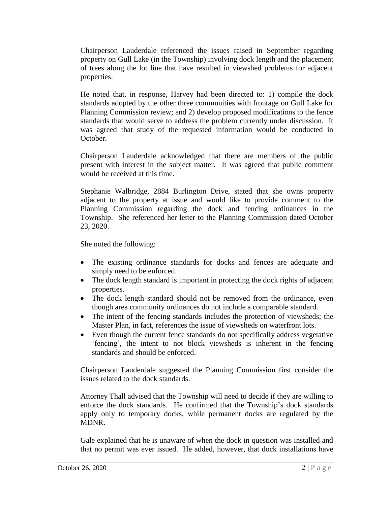Chairperson Lauderdale referenced the issues raised in September regarding property on Gull Lake (in the Township) involving dock length and the placement of trees along the lot line that have resulted in viewshed problems for adjacent properties.

He noted that, in response, Harvey had been directed to: 1) compile the dock standards adopted by the other three communities with frontage on Gull Lake for Planning Commission review; and 2) develop proposed modifications to the fence standards that would serve to address the problem currently under discussion. It was agreed that study of the requested information would be conducted in October.

Chairperson Lauderdale acknowledged that there are members of the public present with interest in the subject matter. It was agreed that public comment would be received at this time.

Stephanie Walbridge, 2884 Burlington Drive, stated that she owns property adjacent to the property at issue and would like to provide comment to the Planning Commission regarding the dock and fencing ordinances in the Township. She referenced her letter to the Planning Commission dated October 23, 2020.

She noted the following:

- The existing ordinance standards for docks and fences are adequate and simply need to be enforced.
- The dock length standard is important in protecting the dock rights of adjacent properties.
- The dock length standard should not be removed from the ordinance, even though area community ordinances do not include a comparable standard.
- The intent of the fencing standards includes the protection of viewsheds; the Master Plan, in fact, references the issue of viewsheds on waterfront lots.
- Even though the current fence standards do not specifically address vegetative 'fencing', the intent to not block viewsheds is inherent in the fencing standards and should be enforced.

Chairperson Lauderdale suggested the Planning Commission first consider the issues related to the dock standards.

Attorney Thall advised that the Township will need to decide if they are willing to enforce the dock standards. He confirmed that the Township's dock standards apply only to temporary docks, while permanent docks are regulated by the MDNR.

Gale explained that he is unaware of when the dock in question was installed and that no permit was ever issued. He added, however, that dock installations have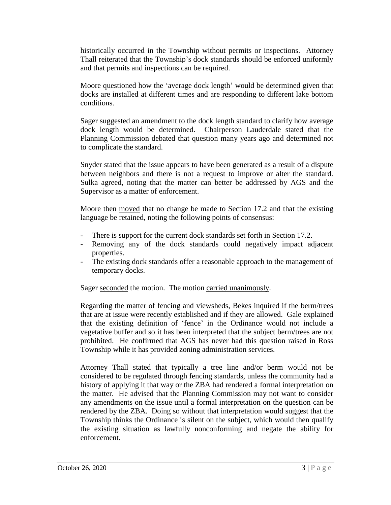historically occurred in the Township without permits or inspections. Attorney Thall reiterated that the Township's dock standards should be enforced uniformly and that permits and inspections can be required.

Moore questioned how the 'average dock length' would be determined given that docks are installed at different times and are responding to different lake bottom conditions.

Sager suggested an amendment to the dock length standard to clarify how average dock length would be determined. Chairperson Lauderdale stated that the Planning Commission debated that question many years ago and determined not to complicate the standard.

Snyder stated that the issue appears to have been generated as a result of a dispute between neighbors and there is not a request to improve or alter the standard. Sulka agreed, noting that the matter can better be addressed by AGS and the Supervisor as a matter of enforcement.

Moore then moved that no change be made to Section 17.2 and that the existing language be retained, noting the following points of consensus:

- There is support for the current dock standards set forth in Section 17.2.
- Removing any of the dock standards could negatively impact adjacent properties.
- The existing dock standards offer a reasonable approach to the management of temporary docks.

Sager seconded the motion. The motion carried unanimously.

Regarding the matter of fencing and viewsheds, Bekes inquired if the berm/trees that are at issue were recently established and if they are allowed. Gale explained that the existing definition of 'fence' in the Ordinance would not include a vegetative buffer and so it has been interpreted that the subject berm/trees are not prohibited. He confirmed that AGS has never had this question raised in Ross Township while it has provided zoning administration services.

Attorney Thall stated that typically a tree line and/or berm would not be considered to be regulated through fencing standards, unless the community had a history of applying it that way or the ZBA had rendered a formal interpretation on the matter. He advised that the Planning Commission may not want to consider any amendments on the issue until a formal interpretation on the question can be rendered by the ZBA. Doing so without that interpretation would suggest that the Township thinks the Ordinance is silent on the subject, which would then qualify the existing situation as lawfully nonconforming and negate the ability for enforcement.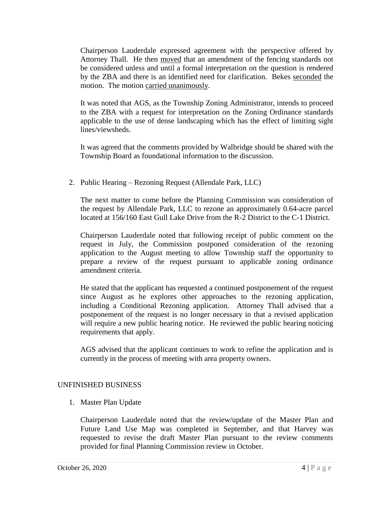Chairperson Lauderdale expressed agreement with the perspective offered by Attorney Thall. He then moved that an amendment of the fencing standards not be considered unless and until a formal interpretation on the question is rendered by the ZBA and there is an identified need for clarification. Bekes seconded the motion. The motion carried unanimously.

It was noted that AGS, as the Township Zoning Administrator, intends to proceed to the ZBA with a request for interpretation on the Zoning Ordinance standards applicable to the use of dense landscaping which has the effect of limiting sight lines/viewsheds.

It was agreed that the comments provided by Walbridge should be shared with the Township Board as foundational information to the discussion.

2. Public Hearing – Rezoning Request (Allendale Park, LLC)

The next matter to come before the Planning Commission was consideration of the request by Allendale Park, LLC to rezone an approximately 0.64-acre parcel located at 156/160 East Gull Lake Drive from the R-2 District to the C-1 District.

Chairperson Lauderdale noted that following receipt of public comment on the request in July, the Commission postponed consideration of the rezoning application to the August meeting to allow Township staff the opportunity to prepare a review of the request pursuant to applicable zoning ordinance amendment criteria.

He stated that the applicant has requested a continued postponement of the request since August as he explores other approaches to the rezoning application, including a Conditional Rezoning application. Attorney Thall advised that a postponement of the request is no longer necessary in that a revised application will require a new public hearing notice. He reviewed the public hearing noticing requirements that apply.

AGS advised that the applicant continues to work to refine the application and is currently in the process of meeting with area property owners.

# UNFINISHED BUSINESS

1. Master Plan Update

Chairperson Lauderdale noted that the review/update of the Master Plan and Future Land Use Map was completed in September, and that Harvey was requested to revise the draft Master Plan pursuant to the review comments provided for final Planning Commission review in October.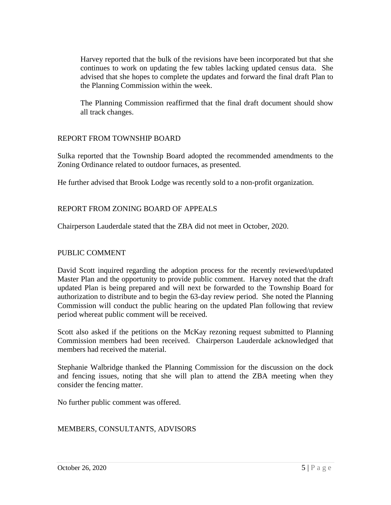Harvey reported that the bulk of the revisions have been incorporated but that she continues to work on updating the few tables lacking updated census data. She advised that she hopes to complete the updates and forward the final draft Plan to the Planning Commission within the week.

The Planning Commission reaffirmed that the final draft document should show all track changes.

## REPORT FROM TOWNSHIP BOARD

Sulka reported that the Township Board adopted the recommended amendments to the Zoning Ordinance related to outdoor furnaces, as presented.

He further advised that Brook Lodge was recently sold to a non-profit organization.

## REPORT FROM ZONING BOARD OF APPEALS

Chairperson Lauderdale stated that the ZBA did not meet in October, 2020.

### PUBLIC COMMENT

David Scott inquired regarding the adoption process for the recently reviewed/updated Master Plan and the opportunity to provide public comment. Harvey noted that the draft updated Plan is being prepared and will next be forwarded to the Township Board for authorization to distribute and to begin the 63-day review period. She noted the Planning Commission will conduct the public hearing on the updated Plan following that review period whereat public comment will be received.

Scott also asked if the petitions on the McKay rezoning request submitted to Planning Commission members had been received. Chairperson Lauderdale acknowledged that members had received the material.

Stephanie Walbridge thanked the Planning Commission for the discussion on the dock and fencing issues, noting that she will plan to attend the ZBA meeting when they consider the fencing matter.

No further public comment was offered.

## MEMBERS, CONSULTANTS, ADVISORS